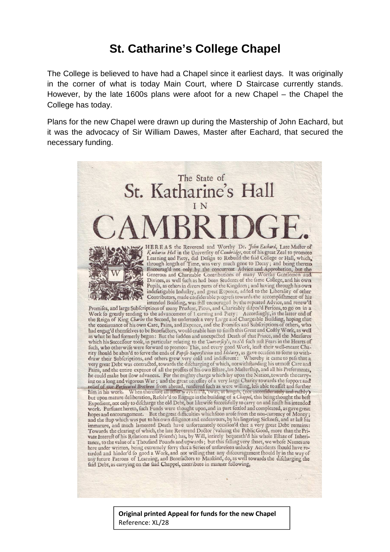## **St. Catharine's College Chapel**

The College is believed to have had a Chapel since it earliest days. It was originally in the corner of what is today Main Court, where D Staircase currently stands. However, by the late 1600s plans were afoot for a new Chapel – the Chapel the College has today.

Plans for the new Chapel were drawn up during the Mastership of John Eachard, but it was the advocacy of Sir William Dawes, Master after Eachard, that secured the necessary funding.



**Original printed Appeal for funds for the new Chapel** Reference: XL/28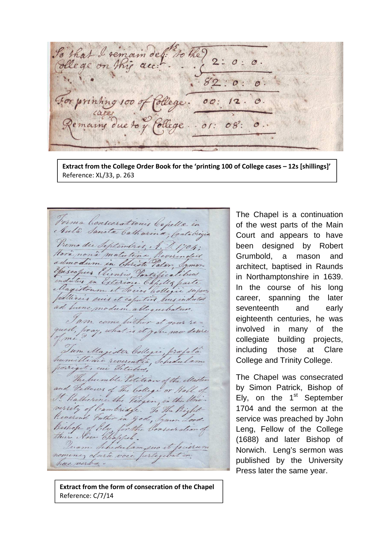that I remain de l'Iothe? 2: 0: lege on this acc !!  $\overline{O}$ : or printing 100 of  $00:$ mains due to  $08:$ ollege.  $.01$ 

**Extract from the College Order Book for the 'printing 100 of College cases – 12s [shillings]'** Reference: XL/33, p. 263

Forma Consecrationis Capella in Primo die Septembris, A. D. 1704; Hora non à matutina Reverenders Yoiseopus Eliensis, Pontificalibed indutus in Exteriore Capilla parte pullicers suis et capative Suis induced ad hune modum alloquebatur. I am come hither at your re-<br>quest, pray, what is it you now desire I am come buther at your se-Tum Magister Collegii, profata possigit, cui Fitules, The humble Petition of the Master and Vellows of The College or Hall of It Ratherine the Virgin, in the Uni versity of Cambridge. To the Right Reverend Futher in god, Symon Lord. Bishop of Ely for the Consecration of nomine, clara voce perlegibit in has verba.

**Extract from the form of consecration of the Chapel** Reference: C/7/14

The Chapel is a continuation of the west parts of the Main Court and appears to have been designed by Robert Grumbold, a mason and architect, baptised in Raunds in Northamptonshire in 1639. In the course of his long career, spanning the later seventeenth and early eighteenth centuries, he was involved in many of the collegiate building projects, including those at Clare College and Trinity College.

The Chapel was consecrated by Simon Patrick, Bishop of Ely, on the  $1<sup>st</sup>$  September 1704 and the sermon at the service was preached by John Leng, Fellow of the College (1688) and later Bishop of Norwich. Leng's sermon was published by the University Press later the same year.